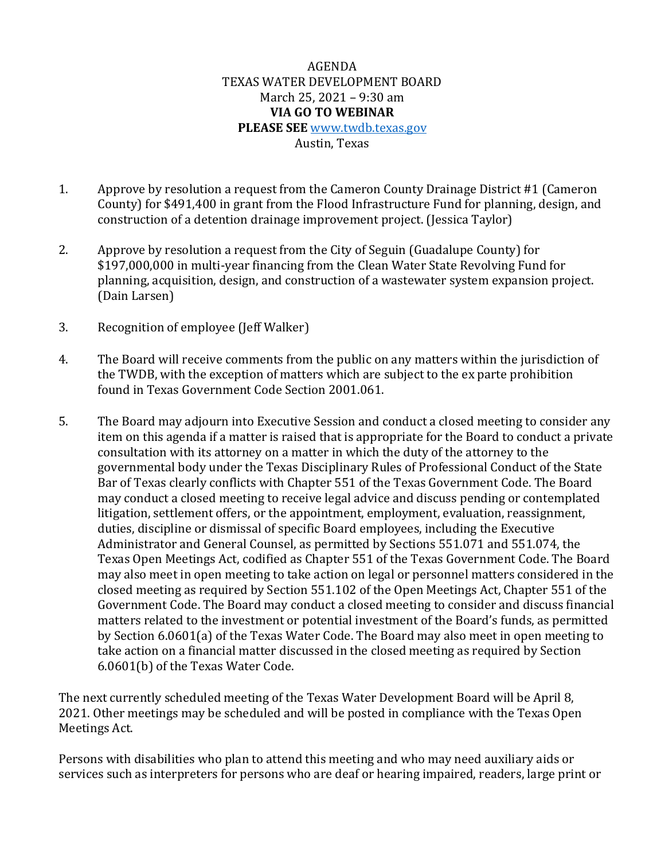## AGENDA TEXAS WATER DEVELOPMENT BOARD March 25, 2021 – 9:30 am **VIA GO TO WEBINAR PLEASE SEE** [www.twdb.texas.gov](http://www.twdb.texas.gov/) Austin, Texas

- 1. Approve by resolution a request from the Cameron County Drainage District #1 (Cameron County) for \$491,400 in grant from the Flood Infrastructure Fund for planning, design, and construction of a detention drainage improvement project. (Jessica Taylor)
- 2. Approve by resolution a request from the City of Seguin (Guadalupe County) for \$197,000,000 in multi-year financing from the Clean Water State Revolving Fund for planning, acquisition, design, and construction of a wastewater system expansion project. (Dain Larsen)
- 3. Recognition of employee (Jeff Walker)
- 4. The Board will receive comments from the public on any matters within the jurisdiction of the TWDB, with the exception of matters which are subject to the ex parte prohibition found in Texas Government Code Section 2001.061.
- 5. The Board may adjourn into Executive Session and conduct a closed meeting to consider any item on this agenda if a matter is raised that is appropriate for the Board to conduct a private consultation with its attorney on a matter in which the duty of the attorney to the governmental body under the Texas Disciplinary Rules of Professional Conduct of the State Bar of Texas clearly conflicts with Chapter 551 of the Texas Government Code. The Board may conduct a closed meeting to receive legal advice and discuss pending or contemplated litigation, settlement offers, or the appointment, employment, evaluation, reassignment, duties, discipline or dismissal of specific Board employees, including the Executive Administrator and General Counsel, as permitted by Sections 551.071 and 551.074, the Texas Open Meetings Act, codified as Chapter 551 of the Texas Government Code. The Board may also meet in open meeting to take action on legal or personnel matters considered in the closed meeting as required by Section 551.102 of the Open Meetings Act, Chapter 551 of the Government Code. The Board may conduct a closed meeting to consider and discuss financial matters related to the investment or potential investment of the Board's funds, as permitted by Section 6.0601(a) of the Texas Water Code. The Board may also meet in open meeting to take action on a financial matter discussed in the closed meeting as required by Section 6.0601(b) of the Texas Water Code.

The next currently scheduled meeting of the Texas Water Development Board will be April 8, 2021. Other meetings may be scheduled and will be posted in compliance with the Texas Open Meetings Act.

Persons with disabilities who plan to attend this meeting and who may need auxiliary aids or services such as interpreters for persons who are deaf or hearing impaired, readers, large print or